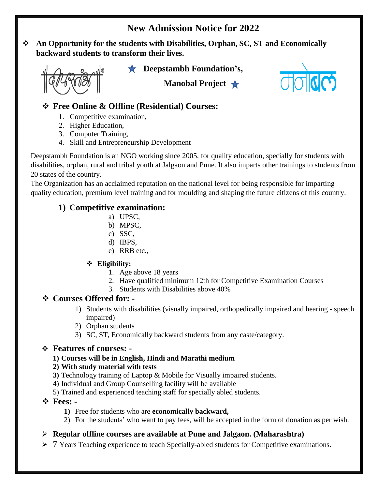## **New Admission Notice for 2022**

 **An Opportunity for the students with Disabilities, Orphan, SC, ST and Economically backward students to transform their lives.**



**CDeepstambh Foundation's,** 

**Manobal Project**



### **Free Online & Offline (Residential) Courses:**

- 1. Competitive examination,
- 2. Higher Education,
- 3. Computer Training,
- 4. Skill and Entrepreneurship Development

Deepstambh Foundation is an NGO working since 2005, for quality education, specially for students with disabilities, orphan, rural and tribal youth at Jalgaon and Pune. It also imparts other trainings to students from 20 states of the country.

The Organization has an acclaimed reputation on the national level for being responsible for imparting quality education, premium level training and for moulding and shaping the future citizens of this country.

### **1) Competitive examination:**

- a) UPSC,
- b) MPSC,
- c) SSC,
- d) IBPS,
- e) RRB etc.,

### **Eligibility:**

- 1. Age above 18 years
- 2. Have qualified minimum 12th for Competitive Examination Courses
- 3. Students with Disabilities above 40%

### **Courses Offered for: -**

- 1) Students with disabilities (visually impaired, orthopedically impaired and hearing speech impaired)
- 2) Orphan students
- 3) SC, ST, Economically backward students from any caste/category.

#### **Features of courses: -**

#### **1) Courses will be in English, Hindi and Marathi medium**

#### **2) With study material with tests**

- **3)** Technology training of Laptop & Mobile for Visually impaired students.
- 4) Individual and Group Counselling facility will be available
- 5) Trained and experienced teaching staff for specially abled students.

### **Fees: -**

- **1)** Free for students who are **economically backward,**
- 2) For the students' who want to pay fees, will be accepted in the form of donation as per wish.

### **Regular offline courses are available at Pune and Jalgaon. (Maharashtra)**

 $\triangleright$  7 Years Teaching experience to teach Specially-abled students for Competitive examinations.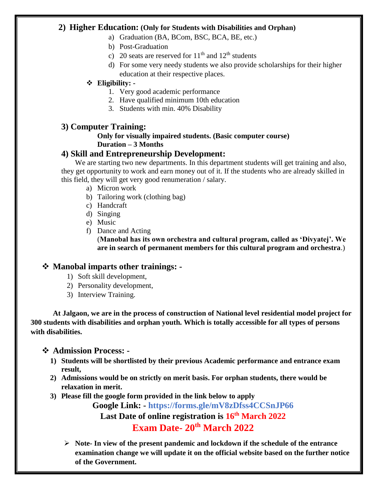#### **2) Higher Education: (Only for Students with Disabilities and Orphan)**

- a) Graduation (BA, BCom, BSC, BCA, BE, etc.)
- b) Post-Graduation
- c) 20 seats are reserved for  $11<sup>th</sup>$  and  $12<sup>th</sup>$  students
- d) For some very needy students we also provide scholarships for their higher education at their respective places.

#### **Eligibility: -**

- 1. Very good academic performance
- 2. Have qualified minimum 10th education
- 3. Students with min. 40% Disability

#### **3) Computer Training:**

#### **Only for visually impaired students. (Basic computer course) Duration – 3 Months**

#### **4) Skill and Entrepreneurship Development:**

We are starting two new departments. In this department students will get training and also, they get opportunity to work and earn money out of it. If the students who are already skilled in this field, they will get very good renumeration / salary.

- a) Micron work
- b) Tailoring work (clothing bag)
- c) Handcraft
- d) Singing
- e) Music
- f) Dance and Acting

(**Manobal has its own orchestra and cultural program, called as 'Divyatej'. We are in search of permanent members for this cultural program and orchestra**.)

#### **Manobal imparts other trainings: -**

- 1) Soft skill development,
- 2) Personality development,
- 3) Interview Training.

**At Jalgaon, we are in the process of construction of National level residential model project for 300 students with disabilities and orphan youth. Which is totally accessible for all types of persons with disabilities.**

#### **Admission Process: -**

- **1) Students will be shortlisted by their previous Academic performance and entrance exam result,**
- **2) Admissions would be on strictly on merit basis. For orphan students, there would be relaxation in merit.**
- **3) Please fill the google form provided in the link below to apply**

**Google Link: - https://forms.gle/mV8zDfss4CCSnJP66** 

**Last Date of online registration is 16th March 2022**

### **Exam Date- 20th March 2022**

 **Note- In view of the present pandemic and lockdown if the schedule of the entrance examination change we will update it on the official website based on the further notice of the Government.**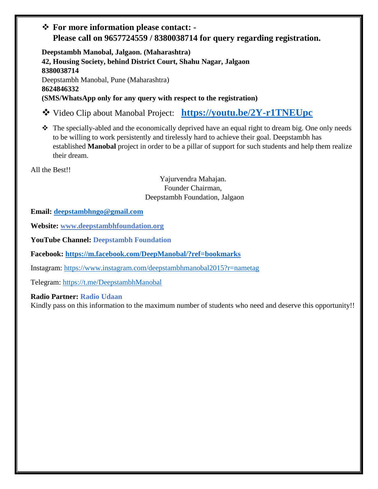### **For more information please contact: - Please call on 9657724559 / 8380038714 for query regarding registration.**

**Deepstambh Manobal, Jalgaon. (Maharashtra) 42, Housing Society, behind District Court, Shahu Nagar, Jalgaon 8380038714** Deepstambh Manobal, Pune (Maharashtra) **8624846332 (SMS/WhatsApp only for any query with respect to the registration)**

- Video Clip about Manobal Project: **<https://youtu.be/2Y-r1TNEUpc>**
- The specially-abled and the economically deprived have an equal right to dream big. One only needs to be willing to work persistently and tirelessly hard to achieve their goal. Deepstambh has established **Manobal** project in order to be a pillar of support for such students and help them realize their dream.

All the Best!!

Yajurvendra Mahajan. Founder Chairman, Deepstambh Foundation, Jalgaon

**Email: [deepstambhngo@gmail.com](mailto:deepstambhngo@gmail.com)**

**Website: [www.deepstambhfoundation.org](file:///D:/MSG%20Data/Online%20Course%20Data/www.deepstambhfoundation.org)**

**YouTube Channel: Deepstambh Foundation**

**Facebook:<https://m.facebook.com/DeepManobal/?ref=bookmarks>**

Instagram:<https://www.instagram.com/deepstambhmanobal2015?r=nametag>

Telegram:<https://t.me/DeepstambhManobal>

#### **Radio Partner: Radio Udaan**

Kindly pass on this information to the maximum number of students who need and deserve this opportunity!!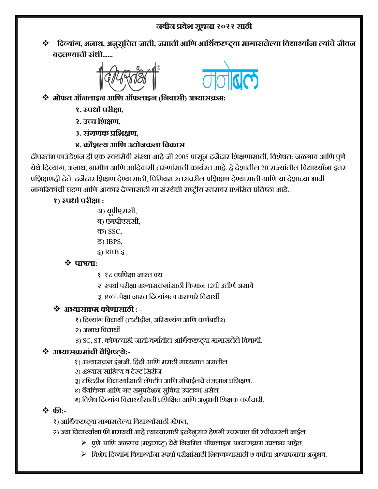### **नवीन प्रवशे सूचना २०२२ साठी**

 **दिव्ाांग, अनाथ, अनसुूदचत जाती, जमाती आदि आदथिकदृष्ट््ा मागासलल्े्ा दवद्यार्थ्ाांना त्ाांचेजीवन बिलण््ाची सांधी......**





- **मोफत ऑनलाइन आदि ऑफलाइन (दनवासी) अभ््ासक्रम:**
	- **१. स्पधािपरीक्षा,**
	- **२. उच्च दशक्षि,**
	- **३. सांगिक प्रदशक्षि,**
	- **४. कौशल्् आदि उद्योजकता दवकास**

दीपस्तंभ फाउंडेशन ही एक स्वयंसेवी संस्था आहे जी 2005 पासून दर्जेदार शिक्षणासाठी, विशेषत: जळगाव आणि पुणे येथे दिव्यांग, अनाथ, ग्रामीण आणि आदिवासी तरुणांसाठी कार्यरत आहे. हे देशातील 20 राज्यांतील विद्यार्थ्यांना इतर प्रशशक्षणही देते. दजेदार शशक्षण देण्यासाठी, शप्रशमयम स्तरावरील प्रशशक्षण देण्यासाठी आशण या देशाच्या भावी नागररकांची घडण आशण आकार देण्यासाठी या संस्थेची राष्ट्रीय स्तरावर प्रशंशसत प्रशतष्ठा आहे..

## **१) स्पधािपरीक्षा :**

- अ) यपूीएससी,
- ब) एमपीएससी,
- क) SSC,
- ड) IBPS,
- इ) RRB इ.,

### **पात्रता:**

- १. १८ वषाांपेक्षा जास्त वय
- २. स्पर्धा परीक्षा अभ्यासक्रमांसाठी किमान १२वी उत्तीर्ण असावे
- ३. ४०% पेक्षा जास्त दिव्यांगत्व असणारे विद्यार्थी

## **अभ््ासक्रम कोिासाठी : -**

- १) दिव्यांग विद्यार्थी (दृष्टीहीन, अस्थिव्यंग आणि कर्णबधीर)
- २) अनाथ शवद्याथी
- ३) SC, ST, कोणत्याही जाती/वर्गातील आर्थिकटष्ट्या मागासलेले विद्यार्थी.

## $\mathbf{\hat{v}}$  अभ्यासक्रमांची वैशिष्ट्ये:-

- १) अभ्यासक्रम इंग्रजी, शहंदी आशण मराठी माध्यमात असतील
- २) अभ्यास साशहत्य व टेस्ट शसरीज
- ३) दृष्टिहीन विद्यार्थ्यांसाठी लॅपटॉप आणि मोबाईलचे तंत्रज्ञान प्रशिक्षण.
- ४) वैयक्तिक आणि गट समुपदेशन सुविधा उपलब्ध असेल
- ५) विशेष दिव्यांग विद्यार्थ्यांसाठी प्रशिक्षित आणि अनुभवी शिक्षक कर्मचारी.

### **फी:-**

- १) आर्थिकहष्ट्या मागासलेल्या विद्यार्थ्यांसाठी मोफत,
- २) ज्या विद्यार्थ्यांना फी भरायची आहे त्यांच्यासाठी इच्छेनुसार देणगी स्वरूपात फी स्वीकारली जाईल.
	- $\triangleright$  पुणे आणि जळगाव (महाराष्ट्र) येथे नियमित ऑफलाइन अभ्यासक्रम उपलब्ध आहेत.
	- $\triangleright$  विशेष दिव्यांग विद्यार्थ्यांना स्पर्धा परीक्षांसाठी शिकवण्यासाठी ७ वर्षांचा अध्यापनाचा अनुभव.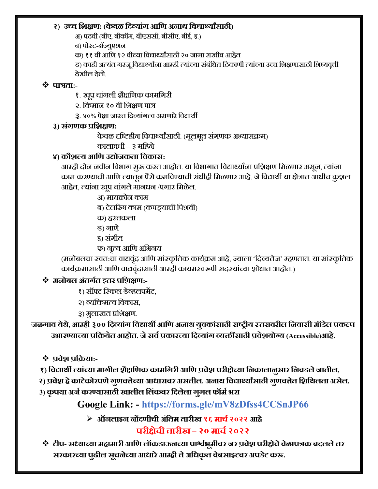#### **२) उच्च दशक्षि: (केवळ दिव्ाांग आदि अनाथ दवद्यार्थ्ाांसाठी)**

अ) पदवी (बीए, बीकॉम, बीएससी, बीसीए, बीई, इ.)

ब) पोस्ट-ग्रॅजयुएशन

क) ११ वी आणि १२ वीच्या विद्यार्थ्यांसाठी २० जागा राखीव आहेत

ड) काही अत्यंत गरजू विद्यार्थ्यांना आम्ही त्यांच्या संबंधित ठिकाणी त्यांच्या उच्च शिक्षणासाठी शिष्यवृत्ती देखील देतो.

### **पात्रता:-**

१. खूप चांगली शैक्षणिक कामगिरी

२. शकमान १० वी शशक्षण पात्र

३. ४०% पेक्षा जास्त दिव्यांगत्व असणारे विद्यार्थी

### **३) सांगिक प्रदशक्षि:**

केवळ दृष्टिहीन विद्यार्थ्यांसाठी. (मूलभूत संगणक अभ्यासक्रम)

कालावर्ी – ३ मशहने

## **४) कौशल्् आदि उद्योजकता दवकास:**

आम्ही दोन नवीन विभाग सूरू करत आहोत. या विभागात विद्यार्थ्यांना प्रशिक्षण मिळणार असून, त्यांना काम करण्याची आणि त्यातून पैसे कमविण्याची संधीही मिळणार आहे. जे विद्यार्थी या क्षेत्रात आधीच कूशल आहेत, त्यांना खुप चांगले मानधन /पगार मिळेल.

अ) मायक्रोन काम

ब) टेलररंग काम (कपड्याची शपशवी)

क) हस्तकला

ड) गाणे

इ) संगीत

फ) नत्ृय आशण अशभनय

(मनोबलचा स्वतःचा वाद्यवंदृ आशण सांस्कृशतक काययक्रम आहे, जयाला 'शदवयतेज' म्हणतात. या सांस्कृशतक कार्यक्रमासाठी आणि वाद्यवंद्रासाठी आम्ही कायमस्वरूपी सदस्यांच्या शोधात आहोत.)

## **मनोबल अांतगित इतर प्रदशक्षि:-**

१) सॉफ्ट रिकल डेव्हलपमेंट,

- २) वयशिमत्व शवकास,
- ३) मुलाखत प्रशशक्षण.

**जळगाव ्थे , ेआम्ही ३०० दिव्ाांग दवद्याथी आदि अनाथ ्ुवकाांसाठी राष्ट्री् स्तरावरील दनवासी मॉडले प्रकल्प उभारण््ाच््ा प्रदक्र्ते आहोत. जेसविप्रकारच््ा दिव्ाांग व्क्तींसाठी प्रवशे ्ोग्् (Accessible)आहे.**

**प्रवशे प्रदक्र्ा:-**

 **१) दवद्याथी त्ाांच््ा मागील शक्षै दिक कामदगरी आदि प्रवशे परीक्षच्े्ा दनकालानसु ार दनवडलेजातील,**

**२) प्रवशे हेकाटके ोरपिेगिु वत्तच्े्ा आधारावर असतील. अनाथ दवद्यार्थ्ाांसाठी गिु वत्तते दशदथलता असले . 3) कृप्ा अजिकरण््ासाठी खालील दलांकवर दिलले ा गगुल फॉमिभरा**

# **Google Link: - https://forms.gle/mV8zDfss4CCSnJP66**

**ऑनलाइन नोंििीची अांदतम तारीख १६ माचि२०२२ आहे**

## **परीक्षचे ी तारीख – २० माचि२०२२**

 **टीप- सध््ाच््ा महामारी आदि लॉकडाऊनच््ा पार्श्िभूमीवर जर प्रवशे परीक्षचे ेवळे ापत्रक बिललेतर सरकारच््ा पढुील सूचनच्े्ा आधारेआम्ही तेअदधकृत वबेसाइटवर अपडटे करू.**